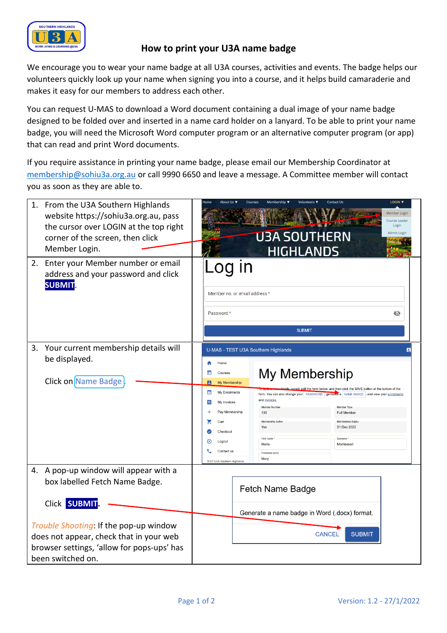

## **How to print your U3A name badge**

We encourage you to wear your name badge at all U3A courses, activities and events. The badge helps our volunteers quickly look up your name when signing you into a course, and it helps build camaraderie and makes it easy for our members to address each other.

You can request U-MAS to download a Word document containing a dual image of your name badge designed to be folded over and inserted in a name card holder on a lanyard. To be able to print your name badge, you will need the Microsoft Word computer program or an alternative computer program (or app) that can read and print Word documents.

If you require assistance in printing your name badge, please email our Membership Coordinator at [membership@sohiu3a.org.au](mailto:membership@sohiu3a.org.au) or call 9990 6650 and leave a message. A Committee member will contact you as soon as they are able to.

|                                            | 1. From the U3A Southern Highlands<br>website https://sohiu3a.org.au, pass<br>the cursor over LOGIN at the top right<br>corner of the screen, then click<br>Member Login. |                                                                                         | About Lis                                        |                                                                                                                                                                          | Volunteers ▼<br><b>U3A SOUTHERN</b><br><b>HIGHLANDS</b> | LOGIN V<br><b>Contact Us</b><br>Member Logir<br>Course Leader<br>Login<br>Admin Login |
|--------------------------------------------|---------------------------------------------------------------------------------------------------------------------------------------------------------------------------|-----------------------------------------------------------------------------------------|--------------------------------------------------|--------------------------------------------------------------------------------------------------------------------------------------------------------------------------|---------------------------------------------------------|---------------------------------------------------------------------------------------|
|                                            | 2. Enter your Member number or email<br>address and your password and click<br><b>SUBMIT</b>                                                                              | $\mathsf{I}$<br>oq<br>Member no, or email address *<br>Password *<br>Ø<br><b>SUBMIT</b> |                                                  |                                                                                                                                                                          |                                                         |                                                                                       |
|                                            | 3. Your current membership details will                                                                                                                                   | U-MAS - TEST U3A Southern Highlands                                                     |                                                  |                                                                                                                                                                          |                                                         |                                                                                       |
|                                            | be displayed.                                                                                                                                                             |                                                                                         | Home                                             |                                                                                                                                                                          |                                                         |                                                                                       |
|                                            | Click on Name Badge                                                                                                                                                       | Ξ<br>8                                                                                  | My Membership<br>Courses<br><b>My Membership</b> |                                                                                                                                                                          |                                                         |                                                                                       |
|                                            |                                                                                                                                                                           | ☑                                                                                       | <b>My Enrolments</b>                             | aly edit the form below, and then click the SAVE button at the bottom of the<br>form. You can also change your PASSWORD, general<br>e a NAME BADGE, and view your enroln |                                                         |                                                                                       |
|                                            |                                                                                                                                                                           | 目                                                                                       | My Invoices                                      |                                                                                                                                                                          | and invoices<br>Member Numbe                            | Member Type                                                                           |
|                                            |                                                                                                                                                                           |                                                                                         | Pay Membership<br>Cart                           |                                                                                                                                                                          | 133<br>Membership Activ                                 | <b>Full Member</b><br>Membership Expire                                               |
|                                            |                                                                                                                                                                           |                                                                                         | Checkout                                         |                                                                                                                                                                          | Yes                                                     | 31 Dec 2022                                                                           |
|                                            |                                                                                                                                                                           | (x                                                                                      | Logout                                           |                                                                                                                                                                          | First na<br>Maria                                       | Montessori                                                                            |
|                                            |                                                                                                                                                                           |                                                                                         | Contact us                                       |                                                                                                                                                                          | Preferred nar                                           |                                                                                       |
|                                            |                                                                                                                                                                           |                                                                                         | <b>TEST U3A Southern Highlands</b>               |                                                                                                                                                                          | Mary                                                    |                                                                                       |
|                                            | 4. A pop-up window will appear with a                                                                                                                                     |                                                                                         |                                                  |                                                                                                                                                                          |                                                         |                                                                                       |
|                                            | box labelled Fetch Name Badge.                                                                                                                                            | Fetch Name Badge                                                                        |                                                  |                                                                                                                                                                          |                                                         |                                                                                       |
|                                            | Click SUBMIT                                                                                                                                                              |                                                                                         |                                                  |                                                                                                                                                                          |                                                         |                                                                                       |
|                                            |                                                                                                                                                                           | Generate a name badge in Word (.docx) format.                                           |                                                  |                                                                                                                                                                          |                                                         |                                                                                       |
| Trouble Shooting: If the pop-up window     |                                                                                                                                                                           |                                                                                         |                                                  |                                                                                                                                                                          |                                                         |                                                                                       |
| does not appear, check that in your web    |                                                                                                                                                                           |                                                                                         |                                                  |                                                                                                                                                                          | <b>CANCEL</b>                                           | <b>SUBMIT</b>                                                                         |
| browser settings, 'allow for pops-ups' has |                                                                                                                                                                           |                                                                                         |                                                  |                                                                                                                                                                          |                                                         |                                                                                       |
|                                            | been switched on.                                                                                                                                                         |                                                                                         |                                                  |                                                                                                                                                                          |                                                         |                                                                                       |